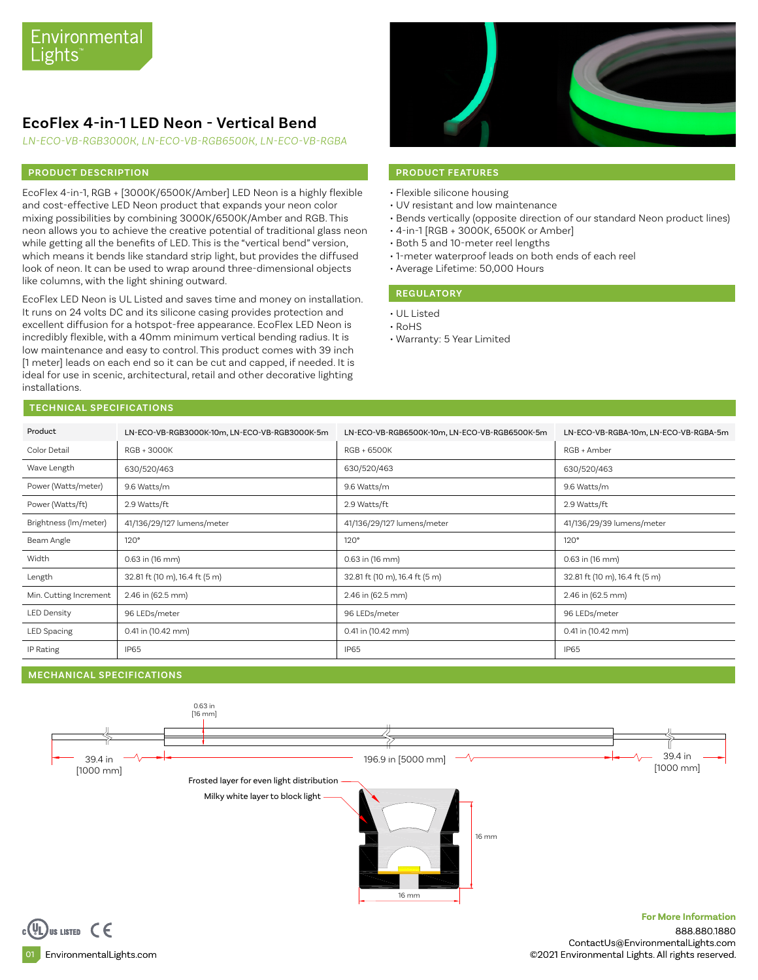# **EcoFlex 4-in-1 LED Neon - Vertical Bend**

*LN-ECO-VB-RGB3000K, LN-ECO-VB-RGB6500K, LN-ECO-VB-RGBA*

### **PRODUCT DESCRIPTION PRODUCT FEATURES**

EcoFlex 4-in-1, RGB + [3000K/6500K/Amber] LED Neon is a highly flexible and cost-effective LED Neon product that expands your neon color mixing possibilities by combining 3000K/6500K/Amber and RGB. This neon allows you to achieve the creative potential of traditional glass neon while getting all the benefits of LED. This is the "vertical bend" version, which means it bends like standard strip light, but provides the diffused look of neon. It can be used to wrap around three-dimensional objects like columns, with the light shining outward.

EcoFlex LED Neon is UL Listed and saves time and money on installation. It runs on 24 volts DC and its silicone casing provides protection and excellent diffusion for a hotspot-free appearance. EcoFlex LED Neon is incredibly flexible, with a 40mm minimum vertical bending radius. It is low maintenance and easy to control. This product comes with 39 inch [1 meter] leads on each end so it can be cut and capped, if needed. It is ideal for use in scenic, architectural, retail and other decorative lighting installations.



- Flexible silicone housing
- UV resistant and low maintenance
- Bends vertically (opposite direction of our standard Neon product lines)
- 4-in-1 [RGB + 3000K, 6500K or Amber]
- Both 5 and 10-meter reel lengths
- 1-meter waterproof leads on both ends of each reel
- Average Lifetime: 50,000 Hours

### **REGULATORY**

- UL Listed
- RoHS
- Warranty: 5 Year Limited

### **TECHNICAL SPECIFICATIONS**

| Product                | LN-ECO-VB-RGB3000K-10m, LN-ECO-VB-RGB3000K-5m | LN-ECO-VB-RGB6500K-10m, LN-ECO-VB-RGB6500K-5m | LN-ECO-VB-RGBA-10m, LN-ECO-VB-RGBA-5m |
|------------------------|-----------------------------------------------|-----------------------------------------------|---------------------------------------|
| Color Detail           | RGB + 3000K                                   | RGB + 6500K                                   | RGB + Amber                           |
| Wave Length            | 630/520/463                                   | 630/520/463                                   | 630/520/463                           |
| Power (Watts/meter)    | 9.6 Watts/m                                   | 9.6 Watts/m                                   | 9.6 Watts/m                           |
| Power (Watts/ft)       | 2.9 Watts/ft                                  | 2.9 Watts/ft                                  | 2.9 Watts/ft                          |
| Brightness (Im/meter)  | 41/136/29/127 lumens/meter                    | 41/136/29/127 lumens/meter                    | 41/136/29/39 lumens/meter             |
| Beam Angle             | 120°                                          | 120°                                          | 120°                                  |
| Width                  | 0.63 in (16 mm)                               | 0.63 in (16 mm)                               | 0.63 in (16 mm)                       |
| Length                 | 32.81 ft (10 m), 16.4 ft (5 m)                | 32.81 ft (10 m), 16.4 ft (5 m)                | 32.81 ft (10 m), 16.4 ft (5 m)        |
| Min. Cutting Increment | 2.46 in (62.5 mm)                             | 2.46 in (62.5 mm)                             | 2.46 in (62.5 mm)                     |
| <b>LED Density</b>     | 96 LEDs/meter                                 | 96 LEDs/meter                                 | 96 LEDs/meter                         |
| LED Spacing            | 0.41 in (10.42 mm)                            | 0.41 in (10.42 mm)                            | 0.41 in (10.42 mm)                    |
| IP Rating              | <b>IP65</b>                                   | <b>IP65</b>                                   | IP65                                  |

#### **MECHANICAL SPECIFICATIONS**